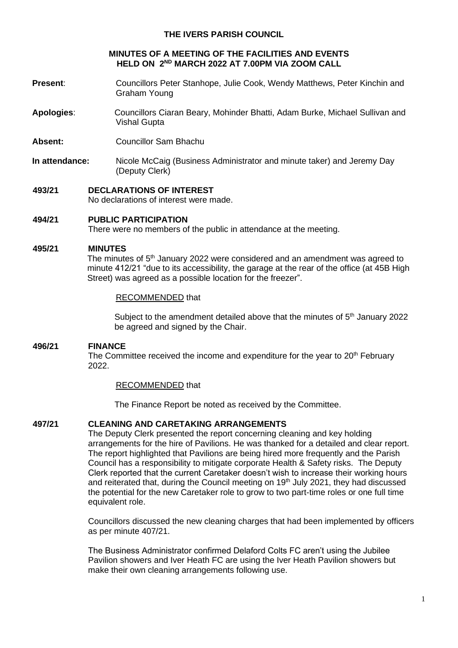## **THE IVERS PARISH COUNCIL**

## **MINUTES OF A MEETING OF THE FACILITIES AND EVENTS HELD ON 2 ND MARCH 2022 AT 7.00PM VIA ZOOM CALL**

- **Present**: Councillors Peter Stanhope, Julie Cook, Wendy Matthews, Peter Kinchin and Graham Young
- **Apologies**: Councillors Ciaran Beary, Mohinder Bhatti, Adam Burke, Michael Sullivan and Vishal Gupta
- **Absent:** Councillor Sam Bhachu
- **In attendance:** Nicole McCaig (Business Administrator and minute taker) and Jeremy Day (Deputy Clerk)
- **493/21 DECLARATIONS OF INTEREST** No declarations of interest were made.
- **494/21 PUBLIC PARTICIPATION**

There were no members of the public in attendance at the meeting.

### **495/21 MINUTES**

The minutes of 5th January 2022 were considered and an amendment was agreed to minute 412/21 "due to its accessibility, the garage at the rear of the office (at 45B High Street) was agreed as a possible location for the freezer".

### RECOMMENDED that

Subject to the amendment detailed above that the minutes of  $5<sup>th</sup>$  January 2022 be agreed and signed by the Chair.

### **496/21 FINANCE**

The Committee received the income and expenditure for the year to  $20<sup>th</sup>$  February 2022.

### RECOMMENDED that

The Finance Report be noted as received by the Committee.

### **497/21 CLEANING AND CARETAKING ARRANGEMENTS**

The Deputy Clerk presented the report concerning cleaning and key holding arrangements for the hire of Pavilions. He was thanked for a detailed and clear report. The report highlighted that Pavilions are being hired more frequently and the Parish Council has a responsibility to mitigate corporate Health & Safety risks. The Deputy Clerk reported that the current Caretaker doesn't wish to increase their working hours and reiterated that, during the Council meeting on  $19<sup>th</sup>$  July 2021, they had discussed the potential for the new Caretaker role to grow to two part-time roles or one full time equivalent role.

Councillors discussed the new cleaning charges that had been implemented by officers as per minute 407/21.

The Business Administrator confirmed Delaford Colts FC aren't using the Jubilee Pavilion showers and Iver Heath FC are using the Iver Heath Pavilion showers but make their own cleaning arrangements following use.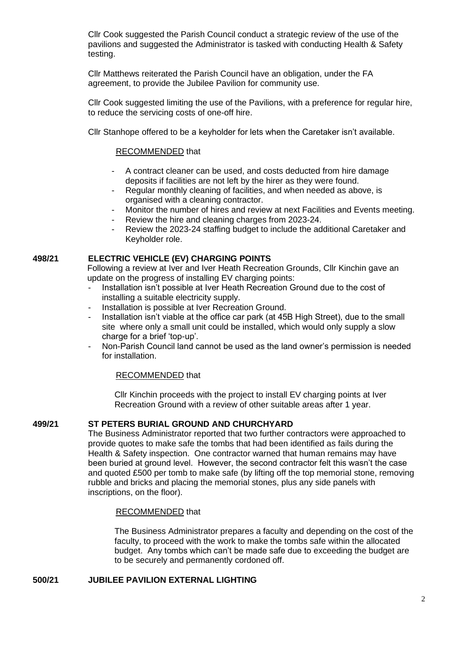Cllr Cook suggested the Parish Council conduct a strategic review of the use of the pavilions and suggested the Administrator is tasked with conducting Health & Safety testing.

Cllr Matthews reiterated the Parish Council have an obligation, under the FA agreement, to provide the Jubilee Pavilion for community use.

Cllr Cook suggested limiting the use of the Pavilions, with a preference for regular hire, to reduce the servicing costs of one-off hire.

Cllr Stanhope offered to be a keyholder for lets when the Caretaker isn't available.

## RECOMMENDED that

- A contract cleaner can be used, and costs deducted from hire damage deposits if facilities are not left by the hirer as they were found.
- Regular monthly cleaning of facilities, and when needed as above, is organised with a cleaning contractor.
- Monitor the number of hires and review at next Facilities and Events meeting.
- Review the hire and cleaning charges from 2023-24.
- Review the 2023-24 staffing budget to include the additional Caretaker and Keyholder role.

# **498/21 ELECTRIC VEHICLE (EV) CHARGING POINTS**

Following a review at Iver and Iver Heath Recreation Grounds, Cllr Kinchin gave an update on the progress of installing EV charging points:

- Installation isn't possible at Iver Heath Recreation Ground due to the cost of installing a suitable electricity supply.
- Installation is possible at Iver Recreation Ground.
- Installation isn't viable at the office car park (at 45B High Street), due to the small site where only a small unit could be installed, which would only supply a slow charge for a brief 'top-up'.
- Non-Parish Council land cannot be used as the land owner's permission is needed for installation.

## RECOMMENDED that

Cllr Kinchin proceeds with the project to install EV charging points at Iver Recreation Ground with a review of other suitable areas after 1 year.

## **499/21 ST PETERS BURIAL GROUND AND CHURCHYARD**

The Business Administrator reported that two further contractors were approached to provide quotes to make safe the tombs that had been identified as fails during the Health & Safety inspection. One contractor warned that human remains may have been buried at ground level. However, the second contractor felt this wasn't the case and quoted £500 per tomb to make safe (by lifting off the top memorial stone, removing rubble and bricks and placing the memorial stones, plus any side panels with inscriptions, on the floor).

### RECOMMENDED that

The Business Administrator prepares a faculty and depending on the cost of the faculty, to proceed with the work to make the tombs safe within the allocated budget. Any tombs which can't be made safe due to exceeding the budget are to be securely and permanently cordoned off.

## **500/21 JUBILEE PAVILION EXTERNAL LIGHTING**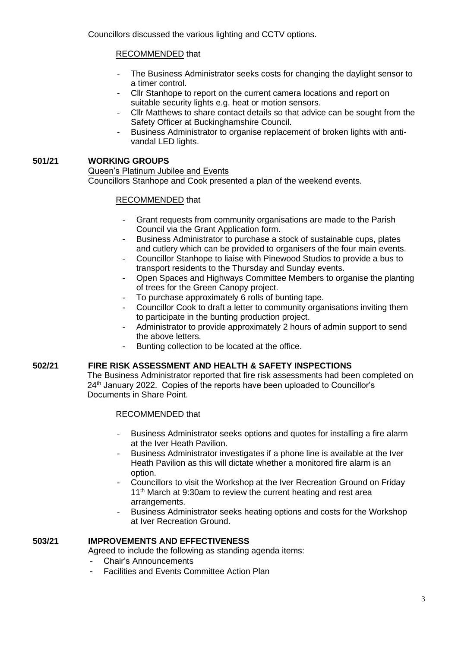# RECOMMENDED that

- The Business Administrator seeks costs for changing the daylight sensor to a timer control.
- Cllr Stanhope to report on the current camera locations and report on suitable security lights e.g. heat or motion sensors.
- Cllr Matthews to share contact details so that advice can be sought from the Safety Officer at Buckinghamshire Council.
- Business Administrator to organise replacement of broken lights with antivandal LED lights.

# **501/21 WORKING GROUPS**

Queen's Platinum Jubilee and Events Councillors Stanhope and Cook presented a plan of the weekend events.

# RECOMMENDED that

- Grant requests from community organisations are made to the Parish Council via the Grant Application form.
- Business Administrator to purchase a stock of sustainable cups, plates and cutlery which can be provided to organisers of the four main events.
- Councillor Stanhope to liaise with Pinewood Studios to provide a bus to transport residents to the Thursday and Sunday events.
- Open Spaces and Highways Committee Members to organise the planting of trees for the Green Canopy project.
- To purchase approximately 6 rolls of bunting tape.
- Councillor Cook to draft a letter to community organisations inviting them to participate in the bunting production project.
- Administrator to provide approximately 2 hours of admin support to send the above letters.
- Bunting collection to be located at the office.

## **502/21 FIRE RISK ASSESSMENT AND HEALTH & SAFETY INSPECTIONS**

The Business Administrator reported that fire risk assessments had been completed on 24<sup>th</sup> January 2022. Copies of the reports have been uploaded to Councillor's Documents in Share Point.

RECOMMENDED that

- Business Administrator seeks options and quotes for installing a fire alarm at the Iver Heath Pavilion.
- Business Administrator investigates if a phone line is available at the Iver Heath Pavilion as this will dictate whether a monitored fire alarm is an option.
- Councillors to visit the Workshop at the Iver Recreation Ground on Friday 11<sup>th</sup> March at 9:30am to review the current heating and rest area arrangements.
- Business Administrator seeks heating options and costs for the Workshop at Iver Recreation Ground.

# **503/21 IMPROVEMENTS AND EFFECTIVENESS**

Agreed to include the following as standing agenda items:

- Chair's Announcements
- Facilities and Events Committee Action Plan